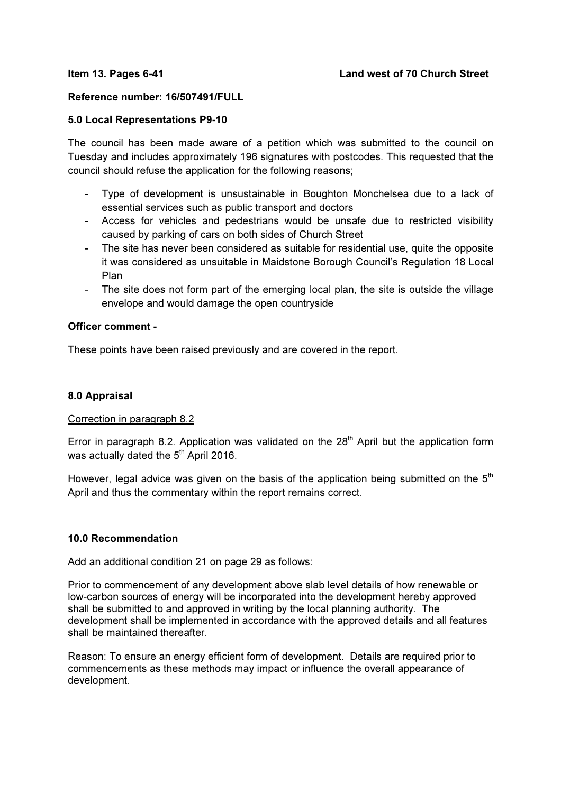### Reference number: 16/507491/FULL

### 5.0 Local Representations P9-10

The council has been made aware of a petition which was submitted to the council on Tuesday and includes approximately 196 signatures with postcodes. This requested that the council should refuse the application for the following reasons;

- Type of development is unsustainable in Boughton Monchelsea due to a lack of essential services such as public transport and doctors
- Access for vehicles and pedestrians would be unsafe due to restricted visibility caused by parking of cars on both sides of Church Street
- The site has never been considered as suitable for residential use, quite the opposite it was considered as unsuitable in Maidstone Borough Council's Regulation 18 Local Plan
- The site does not form part of the emerging local plan, the site is outside the village envelope and would damage the open countryside

## Officer comment -

These points have been raised previously and are covered in the report.

### 8.0 Appraisal

# Correction in paragraph 8.2

Error in paragraph 8.2. Application was validated on the  $28<sup>th</sup>$  April but the application form was actually dated the  $5<sup>th</sup>$  April 2016.

However, legal advice was given on the basis of the application being submitted on the  $5<sup>th</sup>$ April and thus the commentary within the report remains correct.

#### 10.0 Recommendation

### Add an additional condition 21 on page 29 as follows:

Prior to commencement of any development above slab level details of how renewable or low-carbon sources of energy will be incorporated into the development hereby approved shall be submitted to and approved in writing by the local planning authority. The development shall be implemented in accordance with the approved details and all features shall be maintained thereafter

Reason: To ensure an energy efficient form of development. Details are required prior to commencements as these methods may impact or influence the overall appearance of development.